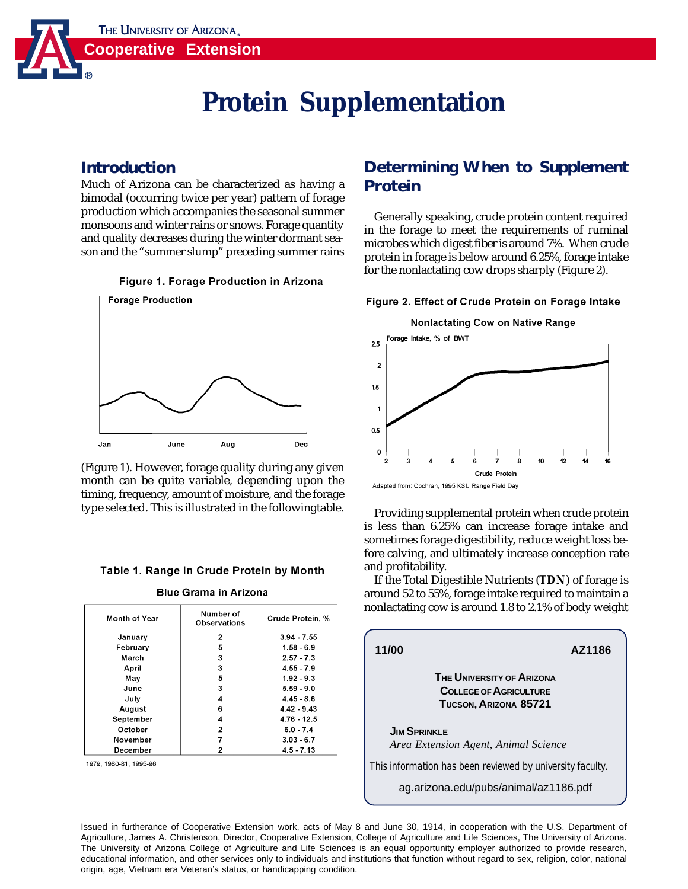THE UNIVERSITY OF ARIZONA.



# **Protein Supplementation**

### **Introduction**

Much of Arizona can be characterized as having a bimodal (occurring twice per year) pattern of forage production which accompanies the seasonal summer monsoons and winter rains or snows. Forage quantity and quality decreases during the winter dormant season and the "summer slump" preceding summer rains





(Figure 1). However, forage quality during any given month can be quite variable, depending upon the timing, frequency, amount of moisture, and the forage type selected. This is illustrated in the followingtable.

### Table 1. Range in Crude Protein by Month

**Blue Grama in Arizona** 

| <b>Month of Year</b> | Number of<br>Observations | Crude Protein, % |
|----------------------|---------------------------|------------------|
| January              | 2                         | $3.94 - 7.55$    |
| February             | 5                         | $1.58 - 6.9$     |
| March                | 3                         | $2.57 - 7.3$     |
| April                | 3                         | $4.55 - 7.9$     |
| May                  | 5                         | $1.92 - 9.3$     |
| June                 | 3                         | $5.59 - 9.0$     |
| July                 | 4                         | $4.45 - 8.6$     |
| August               | 6                         | $4.42 - 9.43$    |
| September            | 4                         | $4.76 - 12.5$    |
| October              | $\mathbf{2}$              | $6.0 - 7.4$      |
| November             |                           | $3.03 - 6.7$     |
| December             | 2                         | $4.5 - 7.13$     |

1979, 1980-81, 1995-96

## **Determining When to Supplement Protein**

Generally speaking, crude protein content required in the forage to meet the requirements of ruminal microbes which digest fiber is around 7%. When crude protein in forage is below around 6.25%, forage intake for the nonlactating cow drops sharply (Figure 2).

### Figure 2. Effect of Crude Protein on Forage Intake



Providing supplemental protein when crude protein is less than 6.25% can increase forage intake and sometimes forage digestibility, reduce weight loss before calving, and ultimately increase conception rate and profitability.

If the Total Digestible Nutrients (**TDN**) of forage is around 52 to 55%, forage intake required to maintain a nonlactating cow is around 1.8 to 2.1% of body weight

| 11/00                                                                                      | AZ1186 |  |
|--------------------------------------------------------------------------------------------|--------|--|
| <b>THE UNIVERSITY OF ARIZONA</b><br><b>COLLEGE OF AGRICULTURE</b><br>TUCSON, ARIZONA 85721 |        |  |
| <b>JIM SPRINKLE</b><br>Area Extension Agent, Animal Science                                |        |  |
| This information has been reviewed by university faculty.                                  |        |  |
| ag.arizona.edu/pubs/animal/az1186.pdf                                                      |        |  |

Issued in furtherance of Cooperative Extension work, acts of May 8 and June 30, 1914, in cooperation with the U.S. Department of Agriculture, James A. Christenson, Director, Cooperative Extension, College of Agriculture and Life Sciences, The University of Arizona. The University of Arizona College of Agriculture and Life Sciences is an equal opportunity employer authorized to provide research, educational information, and other services only to individuals and institutions that function without regard to sex, religion, color, national origin, age, Vietnam era Veteran's status, or handicapping condition.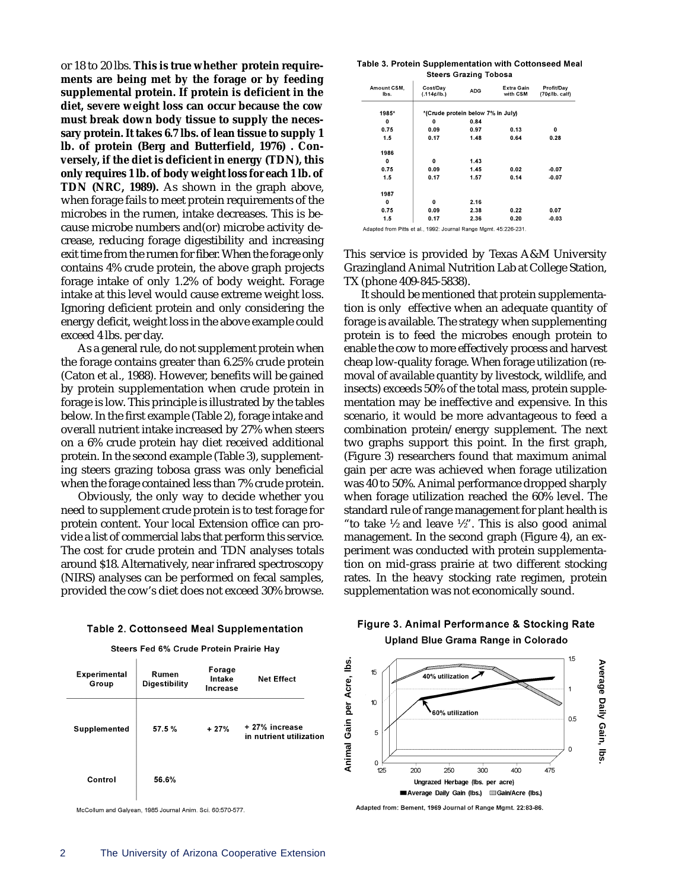or 18 to 20 lbs. **This is true whether protein requirements are being met by the forage or by feeding supplemental protein. If protein is deficient in the diet, severe weight loss can occur because the cow must break down body tissue to supply the necessary protein. It takes 6.7 lbs. of lean tissue to supply 1 lb. of protein (Berg and Butterfield, 1976) . Conversely, if the diet is deficient in energy (TDN), this only requires 1 lb. of body weight loss for each 1 lb. of TDN (NRC, 1989).** As shown in the graph above, when forage fails to meet protein requirements of the microbes in the rumen, intake decreases. This is because microbe numbers and(or) microbe activity decrease, reducing forage digestibility and increasing exit time from the rumen for fiber. When the forage only contains 4% crude protein, the above graph projects forage intake of only 1.2% of body weight. Forage intake at this level would cause extreme weight loss. Ignoring deficient protein and only considering the energy deficit, weight loss in the above example could exceed 4 lbs. per day.

 As a general rule, do not supplement protein when the forage contains greater than 6.25% crude protein (Caton et al., 1988). However, benefits will be gained by protein supplementation when crude protein in forage is low. This principle is illustrated by the tables below. In the first example (Table 2), forage intake and overall nutrient intake increased by 27% when steers on a 6% crude protein hay diet received additional protein. In the second example (Table 3), supplementing steers grazing tobosa grass was only beneficial when the forage contained less than 7% crude protein.

Obviously, the only way to decide whether you need to supplement crude protein is to test forage for protein content. Your local Extension office can provide a list of commercial labs that perform this service. The cost for crude protein and TDN analyses totals around \$18. Alternatively, near infrared spectroscopy (NIRS) analyses can be performed on fecal samples, provided the cow's diet does not exceed 30% browse.

#### **Table 2. Cottonseed Meal Supplementation**

#### Steers Fed 6% Crude Protein Prairie Hay

| Experimental<br>Group | Rumen<br><b>Digestibility</b> | Forage<br>Intake<br>Increase | <b>Net Effect</b>                         |
|-----------------------|-------------------------------|------------------------------|-------------------------------------------|
| Supplemented          | 57.5%                         | $+27%$                       | + 27% increase<br>in nutrient utilization |
| Control               | 56.6%                         |                              |                                           |

McCollum and Galyean, 1985 Journal Anim. Sci. 60:570-577

Table 3. Protein Supplementation with Cottonseed Meal **Steers Grazing Tobosa** 

| Amount CSM,<br>lbs.                                              | Cost/Dav<br>(.114¢/lb.)           | <b>ADG</b> | Extra Gain<br>with CSM | Profit/Day<br>$(70¢$ /lb. calf) |
|------------------------------------------------------------------|-----------------------------------|------------|------------------------|---------------------------------|
| 1985*                                                            | *(Crude protein below 7% in July) |            |                        |                                 |
| 0                                                                | 0                                 | 0.84       |                        |                                 |
| 0.75                                                             | 0.09                              | 0.97       | 0.13                   | 0                               |
| 1.5                                                              | 0.17                              | 1.48       | 0.64                   | 0.28                            |
| 1986                                                             |                                   |            |                        |                                 |
| 0                                                                | 0                                 | 1.43       |                        |                                 |
| 0.75                                                             | 0.09                              | 1.45       | 0.02                   | $-0.07$                         |
| 1.5                                                              | 0.17                              | 1.57       | 0.14                   | $-0.07$                         |
| 1987                                                             |                                   |            |                        |                                 |
| 0                                                                | 0                                 | 2.16       |                        |                                 |
| 0.75                                                             | 0.09                              | 2.38       | 0.22                   | 0.07                            |
| 1.5                                                              | 0.17                              | 2.36       | 0.20                   | $-0.03$                         |
| Adapted from Pitts et al., 1992: Journal Range Mgmt. 45:226-231. |                                   |            |                        |                                 |

This service is provided by Texas A&M University Grazingland Animal Nutrition Lab at College Station, TX (phone 409-845-5838).

It should be mentioned that protein supplementation is only effective when an adequate quantity of forage is available. The strategy when supplementing protein is to feed the microbes enough protein to enable the cow to more effectively process and harvest cheap low-quality forage. When forage utilization (removal of available quantity by livestock, wildlife, and insects) exceeds 50% of the total mass, protein supplementation may be ineffective and expensive. In this scenario, it would be more advantageous to feed a combination protein/energy supplement. The next two graphs support this point. In the first graph, (Figure 3) researchers found that maximum animal gain per acre was achieved when forage utilization was 40 to 50%. Animal performance dropped sharply when forage utilization reached the 60% level. The standard rule of range management for plant health is "to take  $\frac{1}{2}$  and leave  $\frac{1}{2}$ ". This is also good animal management. In the second graph (Figure 4), an experiment was conducted with protein supplementation on mid-grass prairie at two different stocking rates. In the heavy stocking rate regimen, protein supplementation was not economically sound.

### Figure 3. Animal Performance & Stocking Rate Upland Blue Grama Range in Colorado



Adapted from: Bement, 1969 Journal of Range Mgmt. 22:83-86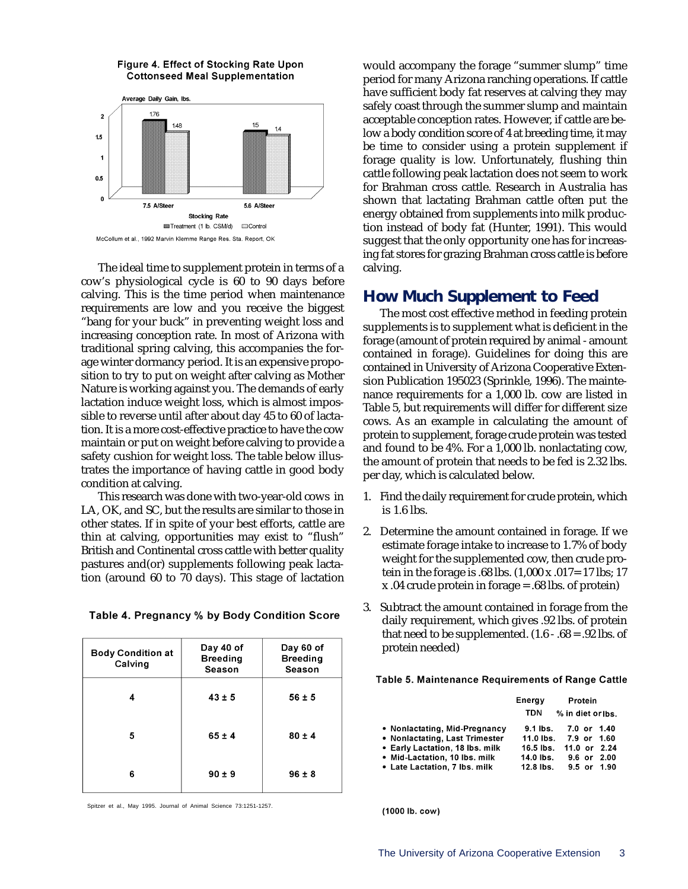

Figure 4. Effect of Stocking Rate Upon **Cottonseed Meal Supplementation** 

The ideal time to supplement protein in terms of a cow's physiological cycle is 60 to 90 days before calving. This is the time period when maintenance requirements are low and you receive the biggest "bang for your buck" in preventing weight loss and increasing conception rate. In most of Arizona with traditional spring calving, this accompanies the forage winter dormancy period. It is an expensive proposition to try to put on weight after calving as Mother Nature is working against you. The demands of early lactation induce weight loss, which is almost impossible to reverse until after about day 45 to 60 of lactation. It is a more cost-effective practice to have the cow maintain or put on weight before calving to provide a safety cushion for weight loss. The table below illustrates the importance of having cattle in good body condition at calving.

This research was done with two-year-old cows in LA, OK, and SC, but the results are similar to those in other states. If in spite of your best efforts, cattle are thin at calving, opportunities may exist to "flush" British and Continental cross cattle with better quality pastures and(or) supplements following peak lactation (around 60 to 70 days). This stage of lactation

|  | Table 4. Pregnancy % by Body Condition Score |  |  |  |
|--|----------------------------------------------|--|--|--|
|--|----------------------------------------------|--|--|--|

| <b>Body Condition at</b><br>Calving | Day 40 of<br><b>Breeding</b><br>Season | Day 60 of<br><b>Breeding</b><br>Season |
|-------------------------------------|----------------------------------------|----------------------------------------|
| 4                                   | $43 \pm 5$                             | $56 \pm 5$                             |
| 5                                   | $65 \pm 4$                             | $80 \pm 4$                             |
| 6                                   | $90 \pm 9$                             | $96 \pm 8$                             |

Spitzer et al., May 1995. Journal of Animal Science 73:1251-1257.

would accompany the forage "summer slump" time period for many Arizona ranching operations. If cattle have sufficient body fat reserves at calving they may safely coast through the summer slump and maintain acceptable conception rates. However, if cattle are below a body condition score of 4 at breeding time, it may be time to consider using a protein supplement if forage quality is low. Unfortunately, flushing thin cattle following peak lactation does not seem to work for Brahman cross cattle. Research in Australia has shown that lactating Brahman cattle often put the energy obtained from supplements into milk production instead of body fat (Hunter, 1991). This would suggest that the only opportunity one has for increasing fat stores for grazing Brahman cross cattle is before calving.

### **How Much Supplement to Feed**

The most cost effective method in feeding protein supplements is to supplement what is deficient in the forage (amount of protein required by animal - amount contained in forage). Guidelines for doing this are contained in University of Arizona Cooperative Extension Publication 195023 (Sprinkle, 1996). The maintenance requirements for a 1,000 lb. cow are listed in Table 5, but requirements will differ for different size cows. As an example in calculating the amount of protein to supplement, forage crude protein was tested and found to be 4%. For a 1,000 lb. nonlactating cow, the amount of protein that needs to be fed is 2.32 lbs. per day, which is calculated below.

- 1. Find the daily requirement for crude protein, which is 1.6 lbs.
- 2. Determine the amount contained in forage. If we estimate forage intake to increase to 1.7% of body weight for the supplemented cow, then crude protein in the forage is .68 lbs. (1,000 x .017= 17 lbs; 17 x .04 crude protein in forage = .68 lbs. of protein)
- 3. Subtract the amount contained in forage from the daily requirement, which gives .92 lbs. of protein that need to be supplemented.  $(1.6 - .68 = .92$  lbs. of protein needed)

Table 5. Maintenance Requirements of Range Cattle

|                                 | Energy<br>TDN | Protein<br>% in diet or lbs. |
|---------------------------------|---------------|------------------------------|
| • Nonlactating, Mid-Pregnancy   |               | 9.1 lbs. 7.0 or 1.40         |
| • Nonlactating, Last Trimester  |               | 11.0 lbs. 7.9 or 1.60        |
| • Early Lactation, 18 lbs. milk | 16.5 lbs.     | 11.0 or $2.24$               |
| • Mid-Lactation, 10 lbs, milk   | 14.0 lbs.     | $9.6$ or $2.00$              |
| • Late Lactation, 7 lbs. milk   | 12.8 lbs.     | $9.5$ or $1.90$              |

(1000 lb. cow)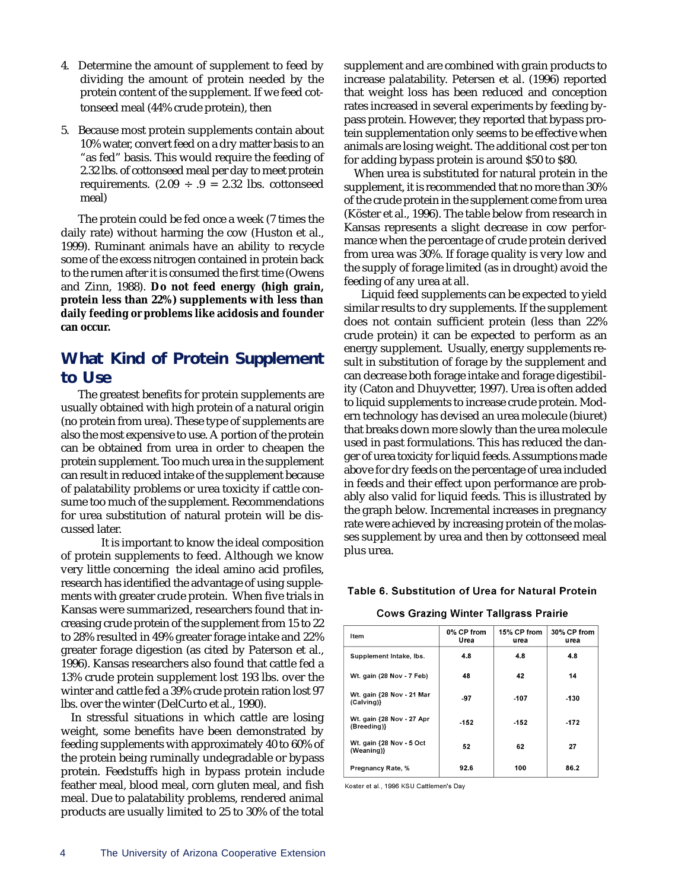- 4. Determine the amount of supplement to feed by dividing the amount of protein needed by the protein content of the supplement. If we feed cottonseed meal (44% crude protein), then
- 5. Because most protein supplements contain about 10% water, convert feed on a dry matter basis to an "as fed" basis. This would require the feeding of 2.32 lbs. of cottonseed meal per day to meet protein requirements.  $(2.09 \div .9 = 2.32$  lbs. cottonseed meal)

The protein could be fed once a week (7 times the daily rate) without harming the cow (Huston et al., 1999). Ruminant animals have an ability to recycle some of the excess nitrogen contained in protein back to the rumen after it is consumed the first time (Owens and Zinn, 1988). **Do not feed energy (high grain, protein less than 22%) supplements with less than daily feeding or problems like acidosis and founder can occur.**

### **What Kind of Protein Supplement to Use**

The greatest benefits for protein supplements are usually obtained with high protein of a natural origin (no protein from urea). These type of supplements are also the most expensive to use. A portion of the protein can be obtained from urea in order to cheapen the protein supplement. Too much urea in the supplement can result in reduced intake of the supplement because of palatability problems or urea toxicity if cattle consume too much of the supplement. Recommendations for urea substitution of natural protein will be discussed later.

It is important to know the ideal composition of protein supplements to feed. Although we know very little concerning the ideal amino acid profiles, research has identified the advantage of using supplements with greater crude protein. When five trials in Kansas were summarized, researchers found that increasing crude protein of the supplement from 15 to 22 to 28% resulted in 49% greater forage intake and 22% greater forage digestion (as cited by Paterson et al., 1996). Kansas researchers also found that cattle fed a 13% crude protein supplement lost 193 lbs. over the winter and cattle fed a 39% crude protein ration lost 97 lbs. over the winter (DelCurto et al., 1990).

In stressful situations in which cattle are losing weight, some benefits have been demonstrated by feeding supplements with approximately 40 to 60% of the protein being ruminally undegradable or bypass protein. Feedstuffs high in bypass protein include feather meal, blood meal, corn gluten meal, and fish meal. Due to palatability problems, rendered animal products are usually limited to 25 to 30% of the total supplement and are combined with grain products to increase palatability. Petersen et al. (1996) reported that weight loss has been reduced and conception rates increased in several experiments by feeding bypass protein. However, they reported that bypass protein supplementation only seems to be effective when animals are losing weight. The additional cost per ton for adding bypass protein is around \$50 to \$80.

When urea is substituted for natural protein in the supplement, it is recommended that no more than 30% of the crude protein in the supplement come from urea (Köster et al., 1996). The table below from research in Kansas represents a slight decrease in cow performance when the percentage of crude protein derived from urea was 30%. If forage quality is very low and the supply of forage limited (as in drought) avoid the feeding of any urea at all.

Liquid feed supplements can be expected to yield similar results to dry supplements. If the supplement does not contain sufficient protein (less than 22% crude protein) it can be expected to perform as an energy supplement. Usually, energy supplements result in substitution of forage by the supplement and can decrease both forage intake and forage digestibility (Caton and Dhuyvetter, 1997). Urea is often added to liquid supplements to increase crude protein. Modern technology has devised an urea molecule (biuret) that breaks down more slowly than the urea molecule used in past formulations. This has reduced the danger of urea toxicity for liquid feeds. Assumptions made above for dry feeds on the percentage of urea included in feeds and their effect upon performance are probably also valid for liquid feeds. This is illustrated by the graph below. Incremental increases in pregnancy rate were achieved by increasing protein of the molasses supplement by urea and then by cottonseed meal plus urea.

### Table 6. Substitution of Urea for Natural Protein

#### **Cows Grazing Winter Tallgrass Prairie**

| Item                                     | 0% CP from<br>Urea | 15% CP from<br>urea | 30% CP from<br>urea |
|------------------------------------------|--------------------|---------------------|---------------------|
| Supplement Intake, Ibs.                  | 4.8                | 4.8                 | 4.8                 |
| Wt. gain (28 Nov - 7 Feb)                | 48                 | 42                  | 14                  |
| Wt. gain {28 Nov - 21 Mar<br>(Calving)}  | -97                | $-107$              | $-130$              |
| Wt. gain {28 Nov - 27 Apr<br>(Breeding)} | $-152$             | $-152$              | -172                |
| Wt. gain {28 Nov - 5 Oct<br>(Weaning)}   | 52                 | 62                  | 27                  |
| Pregnancy Rate, %                        | 92.6               | 100                 | 86.2                |

Koster et al., 1996 KSU Cattlemen's Day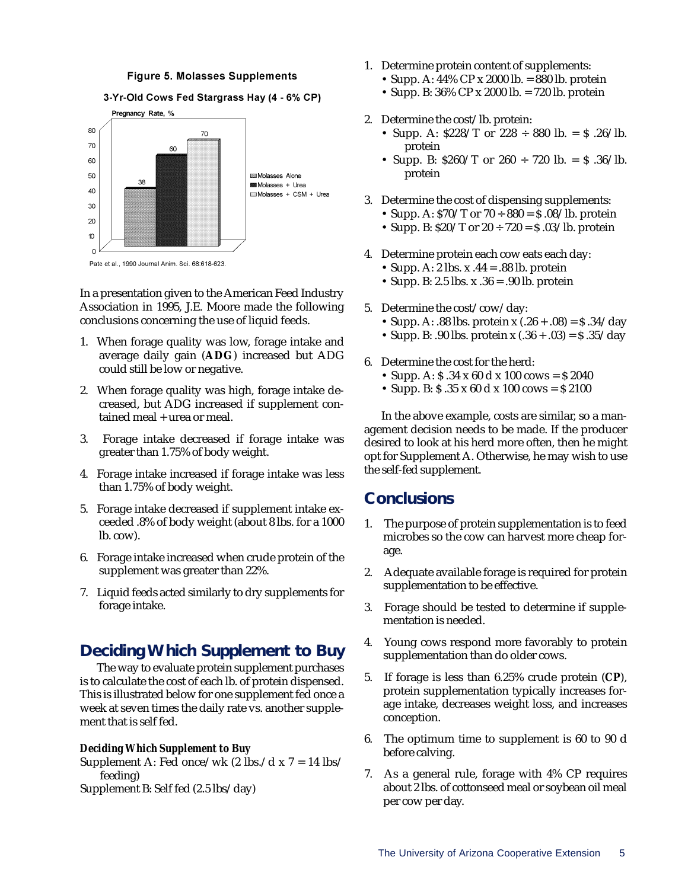#### **Figure 5. Molasses Supplements**



In a presentation given to the American Feed Industry Association in 1995, J.E. Moore made the following conclusions concerning the use of liquid feeds.

- 1. When forage quality was low, forage intake and average daily gain (**ADG**) increased but ADG could still be low or negative.
- 2. When forage quality was high, forage intake decreased, but ADG increased if supplement contained meal + urea or meal.
- 3. Forage intake decreased if forage intake was greater than 1.75% of body weight.
- 4. Forage intake increased if forage intake was less than 1.75% of body weight.
- 5. Forage intake decreased if supplement intake exceeded .8% of body weight (about 8 lbs. for a 1000 lb. cow).
- 6. Forage intake increased when crude protein of the supplement was greater than 22%.
- 7. Liquid feeds acted similarly to dry supplements for forage intake.

### **Deciding Which Supplement to Buy**

The way to evaluate protein supplement purchases is to calculate the cost of each lb. of protein dispensed. This is illustrated below for one supplement fed once a week at seven times the daily rate vs. another supplement that is self fed.

### *Deciding Which Supplement to Buy*

Supplement A: Fed once/wk (2 lbs./d x 7 = 14 lbs/ feeding)

Supplement B: Self fed (2.5 lbs/day)

- 1. Determine protein content of supplements:
	- Supp. A: 44% CP x 2000 lb. = 880 lb. protein
	- Supp. B: 36% CP x 2000 lb. = 720 lb. protein
- 2. Determine the cost/lb. protein:
	- Supp. A:  $$228/T$  or  $228 \div 880$  lb. =  $$.26/lb$ . protein
	- Supp. B:  $$260/T$  or  $260 \div 720$  lb. =  $$36/lb$ . protein
- 3. Determine the cost of dispensing supplements:
	- Supp. A:  $$70/T$  or  $70 \div 880 = $.08/lb$ . protein
	- Supp. B:  $$20/T$  or  $20 \div 720 = $.03/lb$ . protein
- 4. Determine protein each cow eats each day:
	- Supp. A: 2 lbs.  $x .44 = .88$  lb. protein
	- Supp. B: 2.5 lbs.  $x \cdot 36 = .90$  lb. protein
- 5. Determine the cost/cow/day:
	- Supp. A: .88 lbs. protein x  $(.26 + .08) = $.34/day$
	- Supp. B: .90 lbs. protein x  $(.36 + .03) = $.35 / day$
- 6. Determine the cost for the herd:
	- Supp. A:  $\text{\$}$  .34 x 60 d x 100 cows =  $\text{\$}$  2040
	- Supp. B:  $$.35 \times 60 \text{ d} \times 100 \text{ cows} = $2100$

In the above example, costs are similar, so a management decision needs to be made. If the producer desired to look at his herd more often, then he might opt for Supplement A. Otherwise, he may wish to use the self-fed supplement.

### **Conclusions**

- 1. The purpose of protein supplementation is to feed microbes so the cow can harvest more cheap forage.
- 2. Adequate available forage is required for protein supplementation to be effective.
- 3. Forage should be tested to determine if supplementation is needed.
- 4. Young cows respond more favorably to protein supplementation than do older cows.
- 5. If forage is less than 6.25% crude protein (**CP**), protein supplementation typically increases forage intake, decreases weight loss, and increases conception.
- 6. The optimum time to supplement is 60 to 90 d before calving.
- 7. As a general rule, forage with 4% CP requires about 2 lbs. of cottonseed meal or soybean oil meal per cow per day.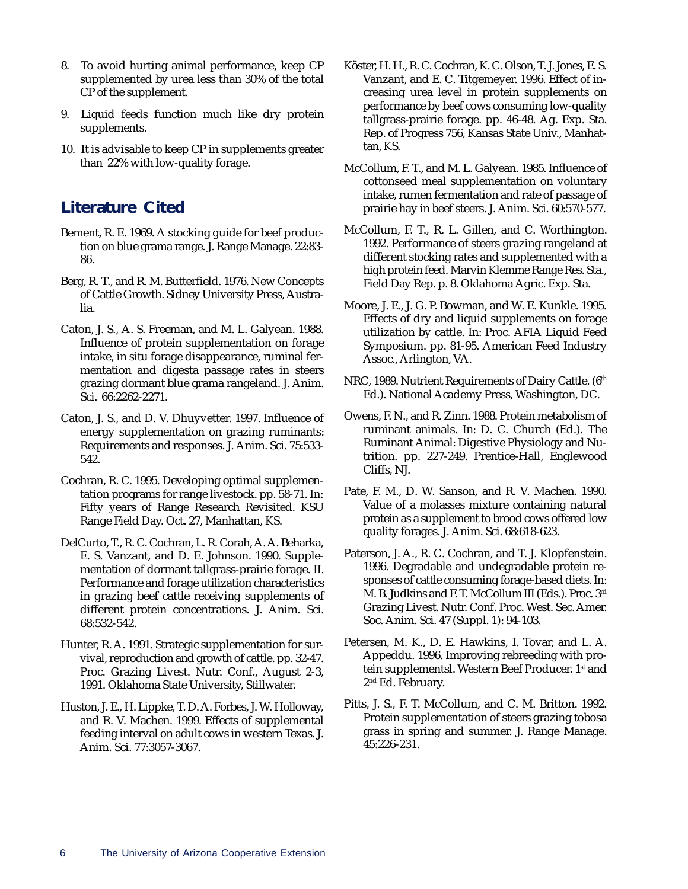- 8. To avoid hurting animal performance, keep CP supplemented by urea less than 30% of the total CP of the supplement.
- 9. Liquid feeds function much like dry protein supplements.
- 10. It is advisable to keep CP in supplements greater than 22% with low-quality forage.

### **Literature Cited**

- Bement, R. E. 1969. A stocking guide for beef production on blue grama range. J. Range Manage. 22:83- 86.
- Berg, R. T., and R. M. Butterfield. 1976. New Concepts of Cattle Growth. Sidney University Press, Australia.
- Caton, J. S., A. S. Freeman, and M. L. Galyean. 1988. Influence of protein supplementation on forage intake, in situ forage disappearance, ruminal fermentation and digesta passage rates in steers grazing dormant blue grama rangeland. J. Anim. Sci. 66:2262-2271.
- Caton, J. S., and D. V. Dhuyvetter. 1997. Influence of energy supplementation on grazing ruminants: Requirements and responses. J. Anim. Sci. 75:533- 542.
- Cochran, R. C. 1995. Developing optimal supplementation programs for range livestock. pp. 58-71. In: Fifty years of Range Research Revisited. KSU Range Field Day. Oct. 27, Manhattan, KS.
- DelCurto, T., R. C. Cochran, L. R. Corah, A. A. Beharka, E. S. Vanzant, and D. E. Johnson. 1990. Supplementation of dormant tallgrass-prairie forage. II. Performance and forage utilization characteristics in grazing beef cattle receiving supplements of different protein concentrations. J. Anim. Sci. 68:532-542.
- Hunter, R. A. 1991. Strategic supplementation for survival, reproduction and growth of cattle. pp. 32-47. Proc. Grazing Livest. Nutr. Conf., August 2-3, 1991. Oklahoma State University, Stillwater.
- Huston, J. E., H. Lippke, T. D. A. Forbes, J. W. Holloway, and R. V. Machen. 1999. Effects of supplemental feeding interval on adult cows in western Texas. J. Anim. Sci. 77:3057-3067.
- Köster, H. H., R. C. Cochran, K. C. Olson, T. J. Jones, E. S. Vanzant, and E. C. Titgemeyer. 1996. Effect of increasing urea level in protein supplements on performance by beef cows consuming low-quality tallgrass-prairie forage. pp. 46-48. Ag. Exp. Sta. Rep. of Progress 756, Kansas State Univ., Manhattan, KS.
- McCollum, F. T., and M. L. Galyean. 1985. Influence of cottonseed meal supplementation on voluntary intake, rumen fermentation and rate of passage of prairie hay in beef steers. J. Anim. Sci. 60:570-577.
- McCollum, F. T., R. L. Gillen, and C. Worthington. 1992. Performance of steers grazing rangeland at different stocking rates and supplemented with a high protein feed. Marvin Klemme Range Res. Sta., Field Day Rep. p. 8. Oklahoma Agric. Exp. Sta.
- Moore, J. E., J. G. P. Bowman, and W. E. Kunkle. 1995. Effects of dry and liquid supplements on forage utilization by cattle. In: Proc. AFIA Liquid Feed Symposium. pp. 81-95. American Feed Industry Assoc., Arlington, VA.
- NRC, 1989. Nutrient Requirements of Dairy Cattle. (6<sup>th</sup> Ed.). National Academy Press, Washington, DC.
- Owens, F. N., and R. Zinn. 1988. Protein metabolism of ruminant animals. In: D. C. Church (Ed.). The Ruminant Animal: Digestive Physiology and Nutrition. pp. 227-249. Prentice-Hall, Englewood Cliffs, NJ.
- Pate, F. M., D. W. Sanson, and R. V. Machen. 1990. Value of a molasses mixture containing natural protein as a supplement to brood cows offered low quality forages. J. Anim. Sci. 68:618-623.
- Paterson, J. A., R. C. Cochran, and T. J. Klopfenstein. 1996. Degradable and undegradable protein responses of cattle consuming forage-based diets. In: M. B. Judkins and F. T. McCollum III (Eds.). Proc. 3rd Grazing Livest. Nutr. Conf. Proc. West. Sec. Amer. Soc. Anim. Sci. 47 (Suppl. 1): 94-103.
- Petersen, M. K., D. E. Hawkins, I. Tovar, and L. A. Appeddu. 1996. Improving rebreeding with protein supplementsl. Western Beef Producer. 1st and 2<sup>nd</sup> Ed. February.
- Pitts, J. S., F. T. McCollum, and C. M. Britton. 1992. Protein supplementation of steers grazing tobosa grass in spring and summer. J. Range Manage. 45:226-231.